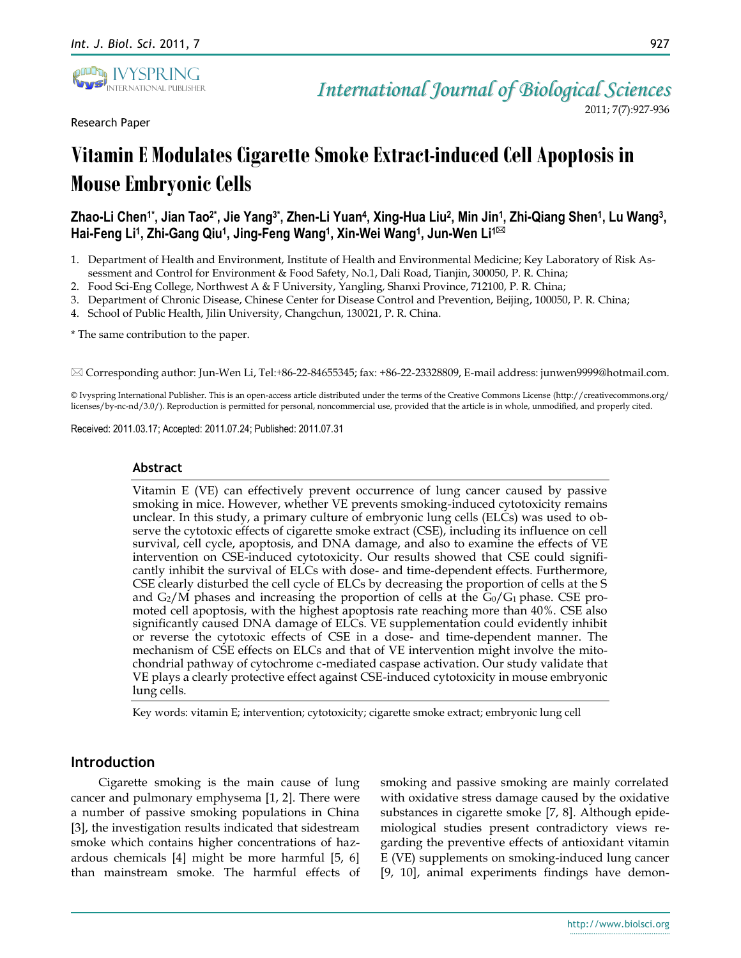

Research Paper

2011; 7(7):927-936

# **Vitamin E Modulates CigaretteSmoke Extract-induced Cell Apoptosis in Mouse Embryonic Cells**

## Zhao-Li Chen1\*, Jian Tao<sup>2</sup>\*, Jie Yang<sup>3\*</sup>, Zhen-Li Yuan<sup>4</sup>, Xing-Hua Liu<sup>2</sup>, Min Jin<sup>1</sup>, Zhi-Qiang Shen1, Lu Wang<sup>3</sup>,  $\mathsf{H}\text{ai-Feng Li^1, Zhi-Gang Qiu^1, Jing-Feng Wang^1, Xin-Wei Wang^1, Jun-Wen Li^⊠}$

- 1. Department of Health and Environment, Institute of Health and Environmental Medicine; Key Laboratory of Risk Assessment and Control for Environment & Food Safety, No.1, Dali Road, Tianjin, 300050, P. R. China;
- 2. Food Sci-Eng College, Northwest A & F University, Yangling, Shanxi Province, 712100, P. R. China;
- 3. Department of Chronic Disease, Chinese Center for Disease Control and Prevention, Beijing, 100050, P. R. China;
- 4. School of Public Health, Jilin University, Changchun, 130021, P. R. China.

\* The same contribution to the paper.

Corresponding author: Jun-Wen Li, Tel:+86-22-84655345; fax: +86-22-23328809, E-mail address: junwen9999@hotmail.com.

© Ivyspring International Publisher. This is an open-access article distributed under the terms of the Creative Commons License (http://creativecommons.org/ licenses/by-nc-nd/3.0/). Reproduction is permitted for personal, noncommercial use, provided that the article is in whole, unmodified, and properly cited.

Received: 2011.03.17; Accepted: 2011.07.24; Published: 2011.07.31

## **Abstract**

Vitamin E (VE) can effectively prevent occurrence of lung cancer caused by passive smoking in mice. However, whether VE prevents smoking-induced cytotoxicity remains unclear. In this study, a primary culture of embryonic lung cells (ELCs) was used to observe the cytotoxic effects of cigarette smoke extract (CSE), including its influence on cell survival, cell cycle, apoptosis, and DNA damage, and also to examine the effects of VE intervention on CSE-induced cytotoxicity. Our results showed that CSE could significantly inhibit the survival of ELCs with dose- and time-dependent effects. Furthermore, CSE clearly disturbed the cell cycle of ELCs by decreasing the proportion of cells at the S and  $G_2/M$  phases and increasing the proportion of cells at the  $G_0/G_1$  phase. CSE promoted cell apoptosis, with the highest apoptosis rate reaching more than 40%. CSE also significantly caused DNA damage of ELCs. VE supplementation could evidently inhibit or reverse the cytotoxic effects of CSE in a dose- and time-dependent manner. The mechanism of CSE effects on ELCs and that of VE intervention might involve the mitochondrial pathway of cytochrome c-mediated caspase activation. Our study validate that VE plays a clearly protective effect against CSE-induced cytotoxicity in mouse embryonic lung cells.

Key words: vitamin E; intervention; cytotoxicity; cigarette smoke extract; embryonic lung cell

## **Introduction**

Cigarette smoking is the main cause of lung cancer and pulmonary emphysema [1, 2]. There were a number of passive smoking populations in China [3], the investigation results indicated that sidestream smoke which contains higher concentrations of hazardous chemicals [4] might be more harmful [5, 6] than mainstream smoke. The harmful effects of smoking and passive smoking are mainly correlated with oxidative stress damage caused by the oxidative substances in cigarette smoke [7, 8]. Although epidemiological studies present contradictory views regarding the preventive effects of antioxidant vitamin E (VE) supplements on smoking-induced lung cancer [9, 10], animal experiments findings have demon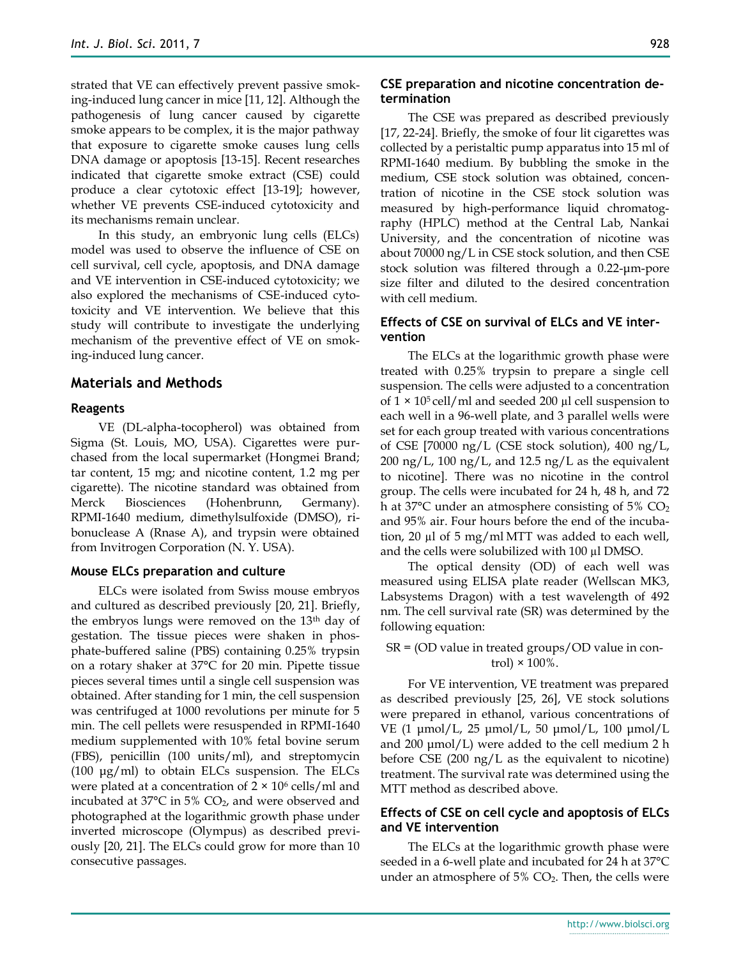strated that VE can effectively prevent passive smoking-induced lung cancer in mice [11, 12]. Although the pathogenesis of lung cancer caused by cigarette smoke appears to be complex, it is the major pathway that exposure to cigarette smoke causes lung cells DNA damage or apoptosis [13-15]. Recent researches indicated that cigarette smoke extract (CSE) could produce a clear cytotoxic effect [13-19]; however, whether VE prevents CSE-induced cytotoxicity and its mechanisms remain unclear.

In this study, an embryonic lung cells (ELCs) model was used to observe the influence of CSE on cell survival, cell cycle, apoptosis, and DNA damage and VE intervention in CSE-induced cytotoxicity; we also explored the mechanisms of CSE-induced cytotoxicity and VE intervention. We believe that this study will contribute to investigate the underlying mechanism of the preventive effect of VE on smoking-induced lung cancer.

#### **Materials and Methods**

#### **Reagents**

VE (DL-alpha-tocopherol) was obtained from Sigma (St. Louis, MO, USA). Cigarettes were purchased from the local supermarket (Hongmei Brand; tar content, 15 mg; and nicotine content, 1.2 mg per cigarette). The nicotine standard was obtained from Merck Biosciences (Hohenbrunn, Germany). RPMI-1640 medium, dimethylsulfoxide (DMSO), ribonuclease A (Rnase A), and trypsin were obtained from Invitrogen Corporation (N. Y. USA).

#### **Mouse ELCs preparation and culture**

ELCs were isolated from Swiss mouse embryos and cultured as described previously [20, 21]. Briefly, the embryos lungs were removed on the 13<sup>th</sup> day of gestation. The tissue pieces were shaken in phosphate-buffered saline (PBS) containing 0.25% trypsin on a rotary shaker at 37°C for 20 min. Pipette tissue pieces several times until a single cell suspension was obtained. After standing for 1 min, the cell suspension was centrifuged at 1000 revolutions per minute for 5 min. The cell pellets were resuspended in RPMI-1640 medium supplemented with 10% fetal bovine serum (FBS), penicillin (100 units/ml), and streptomycin (100  $\mu$ g/ml) to obtain ELCs suspension. The ELCs were plated at a concentration of  $2 \times 10^6$  cells/ml and incubated at  $37^{\circ}$ C in 5% CO<sub>2</sub>, and were observed and photographed at the logarithmic growth phase under inverted microscope (Olympus) as described previously [20, 21]. The ELCs could grow for more than 10 consecutive passages.

## **CSE preparation and nicotine concentration determination**

The CSE was prepared as described previously [17, 22-24]. Briefly, the smoke of four lit cigarettes was collected by a peristaltic pump apparatus into 15 ml of RPMI-1640 medium. By bubbling the smoke in the medium, CSE stock solution was obtained, concentration of nicotine in the CSE stock solution was measured by high-performance liquid chromatography (HPLC) method at the Central Lab, Nankai University, and the concentration of nicotine was about 70000 ng/L in CSE stock solution, and then CSE stock solution was filtered through a 0.22-μm-pore size filter and diluted to the desired concentration with cell medium.

## **Effects of CSE on survival of ELCs and VE intervention**

The ELCs at the logarithmic growth phase were treated with 0.25% trypsin to prepare a single cell suspension. The cells were adjusted to a concentration of  $1 \times 10^5$  cell/ml and seeded 200 µl cell suspension to each well in a 96-well plate, and 3 parallel wells were set for each group treated with various concentrations of CSE [70000 ng/L (CSE stock solution), 400 ng/L, 200 ng/L, 100 ng/L, and 12.5 ng/L as the equivalent to nicotine]. There was no nicotine in the control group. The cells were incubated for 24 h, 48 h, and 72 h at 37 $\degree$ C under an atmosphere consisting of 5% CO<sub>2</sub> and 95% air. Four hours before the end of the incubation, 20 µl of 5 mg/ml MTT was added to each well, and the cells were solubilized with 100 µl DMSO.

The optical density (OD) of each well was measured using ELISA plate reader (Wellscan MK3, Labsystems Dragon) with a test wavelength of 492 nm. The cell survival rate (SR) was determined by the following equation:

## SR = (OD value in treated groups/OD value in control)  $\times$  100%.

For VE intervention, VE treatment was prepared as described previously [25, 26], VE stock solutions were prepared in ethanol, various concentrations of VE (1 μmol/L, 25 μmol/L, 50 μmol/L, 100 μmol/L and 200 μmol/L) were added to the cell medium 2 h before CSE (200 ng/L as the equivalent to nicotine) treatment. The survival rate was determined using the MTT method as described above.

#### **Effects of CSE on cell cycle and apoptosis of ELCs and VE intervention**

The ELCs at the logarithmic growth phase were seeded in a 6-well plate and incubated for 24 h at 37°C under an atmosphere of  $5\%$  CO<sub>2</sub>. Then, the cells were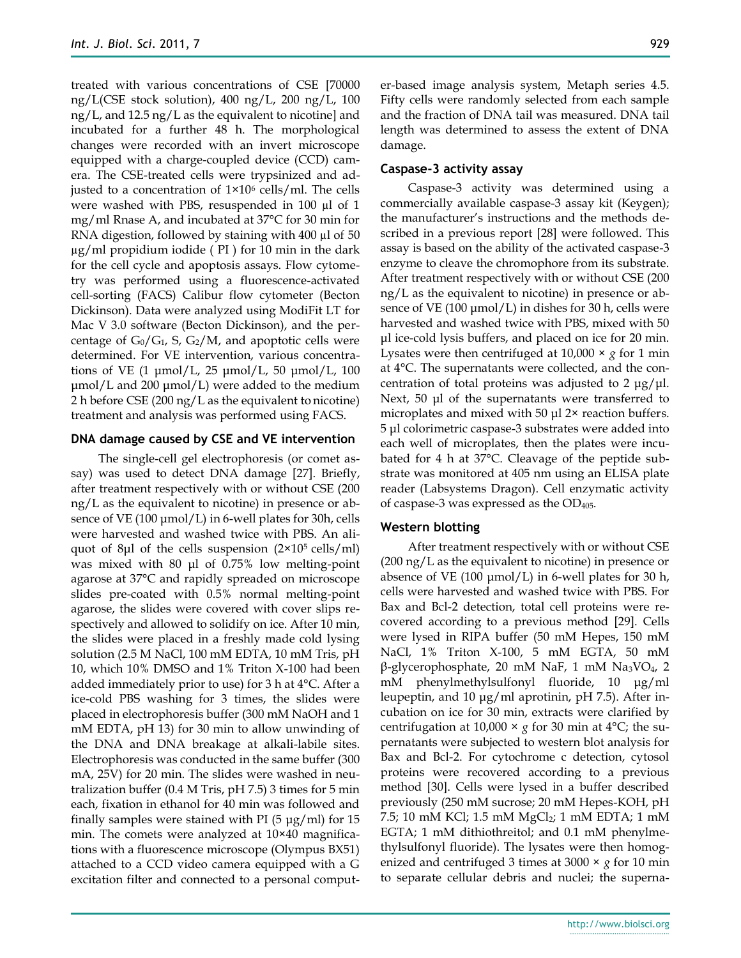treated with various concentrations of CSE [70000 ng/L(CSE stock solution), 400 ng/L, 200 ng/L, 100 ng/L, and 12.5 ng/L as the equivalent to nicotine] and incubated for a further 48 h. The morphological changes were recorded with an invert microscope equipped with a charge-coupled device (CCD) camera. The CSE-treated cells were trypsinized and adjusted to a concentration of  $1\times10^6$  cells/ml. The cells were washed with PBS, resuspended in 100 µl of 1 mg/ml Rnase A, and incubated at 37°C for 30 min for RNA digestion, followed by staining with 400 µl of 50 µg/ml propidium iodide ( PI ) for 10 min in the dark for the cell cycle and apoptosis assays. Flow cytometry was performed using a fluorescence-activated cell-sorting (FACS) Calibur flow cytometer (Becton Dickinson). Data were analyzed using ModiFit LT for Mac V 3.0 software (Becton Dickinson), and the percentage of  $G_0/G_1$ , S,  $G_2/M$ , and apoptotic cells were determined. For VE intervention, various concentrations of VE  $(1 \text{µmol/L}, 25 \text{µmol/L}, 50 \text{µmol/L}, 100$ μmol/L and 200 μmol/L) were added to the medium 2 h before CSE (200 ng/L as the equivalent to nicotine) treatment and analysis was performed using FACS.

#### **DNA damage caused by CSE and VE intervention**

The single-cell gel electrophoresis (or comet assay) was used to detect DNA damage [27]. Briefly, after treatment respectively with or without CSE (200 ng/L as the equivalent to nicotine) in presence or absence of VE (100  $\mu$ mol/L) in 6-well plates for 30h, cells were harvested and washed twice with PBS. An aliquot of 8µl of the cells suspension  $(2\times10^5 \text{ cells/ml})$ was mixed with 80 μl of 0.75% low melting-point agarose at 37°C and rapidly spreaded on microscope slides pre-coated with 0.5% normal melting-point agarose, the slides were covered with cover slips respectively and allowed to solidify on ice. After 10 min, the slides were placed in a freshly made cold lysing solution (2.5 M NaCl, 100 mM EDTA, 10 mM Tris, pH 10, which 10% DMSO and 1% Triton X-100 had been added immediately prior to use) for 3 h at 4°C. After a ice-cold PBS washing for 3 times, the slides were placed in electrophoresis buffer (300 mM NaOH and 1 mM EDTA, pH 13) for 30 min to allow unwinding of the DNA and DNA breakage at alkali-labile sites. Electrophoresis was conducted in the same buffer (300 mA, 25V) for 20 min. The slides were washed in neutralization buffer (0.4 M Tris, pH 7.5) 3 times for 5 min each, fixation in ethanol for 40 min was followed and finally samples were stained with PI  $(5 \mu g/ml)$  for 15 min. The comets were analyzed at 10×40 magnifications with a fluorescence microscope (Olympus BX51) attached to a CCD video camera equipped with a G excitation filter and connected to a personal computer-based image analysis system, Metaph series 4.5. Fifty cells were randomly selected from each sample and the fraction of DNA tail was measured. DNA tail length was determined to assess the extent of DNA damage.

## **Caspase-3 activity assay**

Caspase-3 activity was determined using a commercially available caspase-3 assay kit (Keygen); the manufacturer's instructions and the methods described in a previous report [28] were followed. This assay is based on the ability of the activated caspase-3 enzyme to cleave the chromophore from its substrate. After treatment respectively with or without CSE (200 ng/L as the equivalent to nicotine) in presence or absence of VE (100  $\mu$ mol/L) in dishes for 30 h, cells were harvested and washed twice with PBS, mixed with 50 μl ice-cold lysis buffers, and placed on ice for 20 min. Lysates were then centrifuged at 10,000 × *g* for 1 min at 4°C. The supernatants were collected, and the concentration of total proteins was adjusted to 2  $\mu$ g/ $\mu$ l. Next, 50 μl of the supernatants were transferred to microplates and mixed with 50 μl 2× reaction buffers. 5 μl colorimetric caspase-3 substrates were added into each well of microplates, then the plates were incubated for 4 h at 37°C. Cleavage of the peptide substrate was monitored at 405 nm using an ELISA plate reader (Labsystems Dragon). Cell enzymatic activity of caspase-3 was expressed as the  $OD<sub>405</sub>$ .

## **Western blotting**

After treatment respectively with or without CSE (200 ng/L as the equivalent to nicotine) in presence or absence of VE (100  $\mu$ mol/L) in 6-well plates for 30 h, cells were harvested and washed twice with PBS. For Bax and Bcl-2 detection, total cell proteins were recovered according to a previous method [29]. Cells were lysed in RIPA buffer (50 mM Hepes, 150 mM NaCl, 1% Triton X-100, 5 mM EGTA, 50 mM β-glycerophosphate, 20 mM NaF, 1 mM Na3VO4, 2 mM phenylmethylsulfonyl fluoride, 10 μg/ml leupeptin, and 10 μg/ml aprotinin, pH 7.5). After incubation on ice for 30 min, extracts were clarified by centrifugation at 10,000  $\times$  *g* for 30 min at 4<sup>o</sup>C; the supernatants were subjected to western blot analysis for Bax and Bcl-2. For cytochrome c detection, cytosol proteins were recovered according to a previous method [30]. Cells were lysed in a buffer described previously (250 mM sucrose; 20 mM Hepes-KOH, pH 7.5; 10 mM KCl; 1.5 mM MgCl<sub>2</sub>; 1 mM EDTA; 1 mM EGTA; 1 mM dithiothreitol; and 0.1 mM phenylmethylsulfonyl fluoride). The lysates were then homogenized and centrifuged 3 times at 3000 × *g* for 10 min to separate cellular debris and nuclei; the superna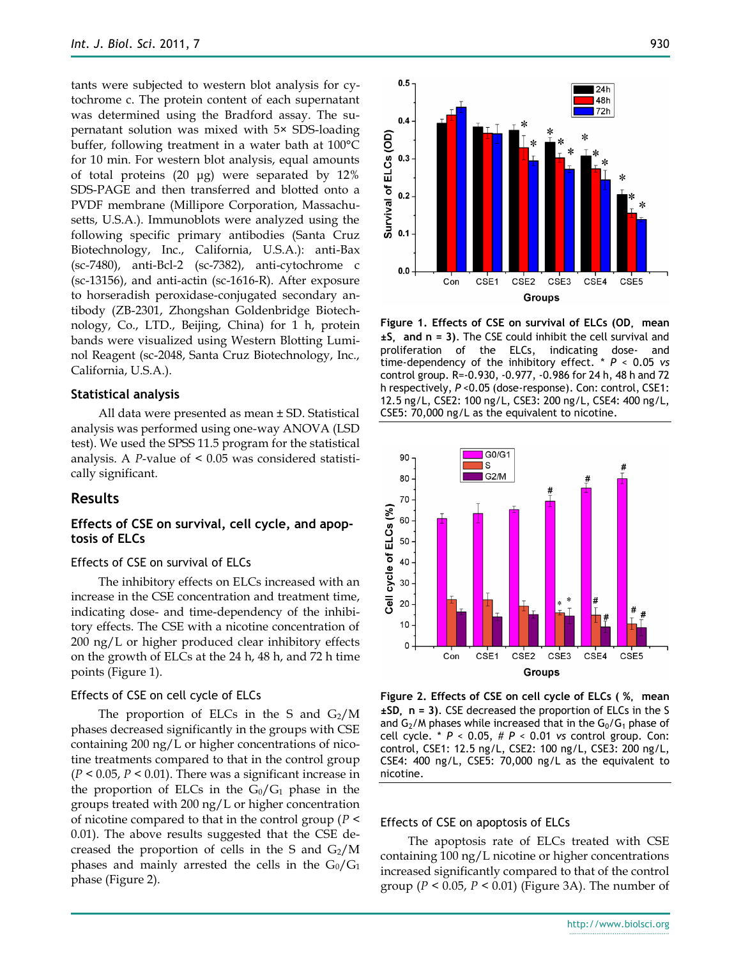tants were subjected to western blot analysis for cytochrome c. The protein content of each supernatant was determined using the Bradford assay. The supernatant solution was mixed with 5× SDS-loading buffer, following treatment in a water bath at 100°C for 10 min. For western blot analysis, equal amounts of total proteins (20 μg) were separated by 12% SDS-PAGE and then transferred and blotted onto a PVDF membrane (Millipore Corporation, Massachusetts, U.S.A.). Immunoblots were analyzed using the following specific primary antibodies (Santa Cruz Biotechnology, Inc., California, U.S.A.): anti-Bax (sc-7480), anti-Bcl-2 (sc-7382), anti-cytochrome c (sc-13156), and anti-actin (sc-1616-R). After exposure to horseradish peroxidase-conjugated secondary antibody (ZB-2301, Zhongshan Goldenbridge Biotechnology, Co., LTD., Beijing, China) for 1 h, protein bands were visualized using Western Blotting Luminol Reagent (sc-2048, Santa Cruz Biotechnology, Inc., California, U.S.A.).

#### **Statistical analysis**

All data were presented as mean ± SD. Statistical analysis was performed using one-way ANOVA (LSD test). We used the SPSS 11.5 program for the statistical analysis. A *P*-value of < 0.05 was considered statistically significant.

#### **Results**

## **Effects of CSE on survival, cell cycle, and apoptosis of ELCs**

#### Effects of CSE on survival of ELCs

The inhibitory effects on ELCs increased with an increase in the CSE concentration and treatment time, indicating dose- and time-dependency of the inhibitory effects. The CSE with a nicotine concentration of 200 ng/L or higher produced clear inhibitory effects on the growth of ELCs at the 24 h, 48 h, and 72 h time points (Figure 1).

#### Effects of CSE on cell cycle of ELCs

The proportion of ELCs in the S and  $G_2/M$ phases decreased significantly in the groups with CSE containing 200 ng/L or higher concentrations of nicotine treatments compared to that in the control group (*P* < 0.05, *P* < 0.01). There was a significant increase in the proportion of ELCs in the  $G_0/G_1$  phase in the groups treated with 200 ng/L or higher concentration of nicotine compared to that in the control group (*P* < 0.01). The above results suggested that the CSE decreased the proportion of cells in the S and  $G_2/M$ phases and mainly arrested the cells in the  $G_0/G_1$ phase (Figure 2).



**Figure 1. Effects of CSE on survival of ELCs (OD**, **mean ±S**, **and n = 3)**. The CSE could inhibit the cell survival and proliferation of the ELCs, indicating dose- and time-dependency of the inhibitory effect. \* *P* < 0.05 *vs* control group. R=-0.930, -0.977, -0.986 for 24 h, 48 h and 72 h respectively, *P* <0.05 (dose-response). Con: control, CSE1: 12.5 ng/L, CSE2: 100 ng/L, CSE3: 200 ng/L, CSE4: 400 ng/L, CSE5: 70,000 ng/L as the equivalent to nicotine.



**Figure 2. Effects of CSE on cell cycle of ELCs ( %**, **mean ±SD**, **n = 3)**. CSE decreased the proportion of ELCs in the S and  $G_2/M$  phases while increased that in the  $G_0/G_1$  phase of cell cycle. \* *P* < 0.05, # *P* < 0.01 *vs* control group. Con: control, CSE1: 12.5 ng/L, CSE2: 100 ng/L, CSE3: 200 ng/L, CSE4: 400 ng/L, CSE5: 70,000 ng/L as the equivalent to nicotine.

#### Effects of CSE on apoptosis of ELCs

The apoptosis rate of ELCs treated with CSE containing 100 ng/L nicotine or higher concentrations increased significantly compared to that of the control group (*P* < 0.05, *P* < 0.01) (Figure 3A). The number of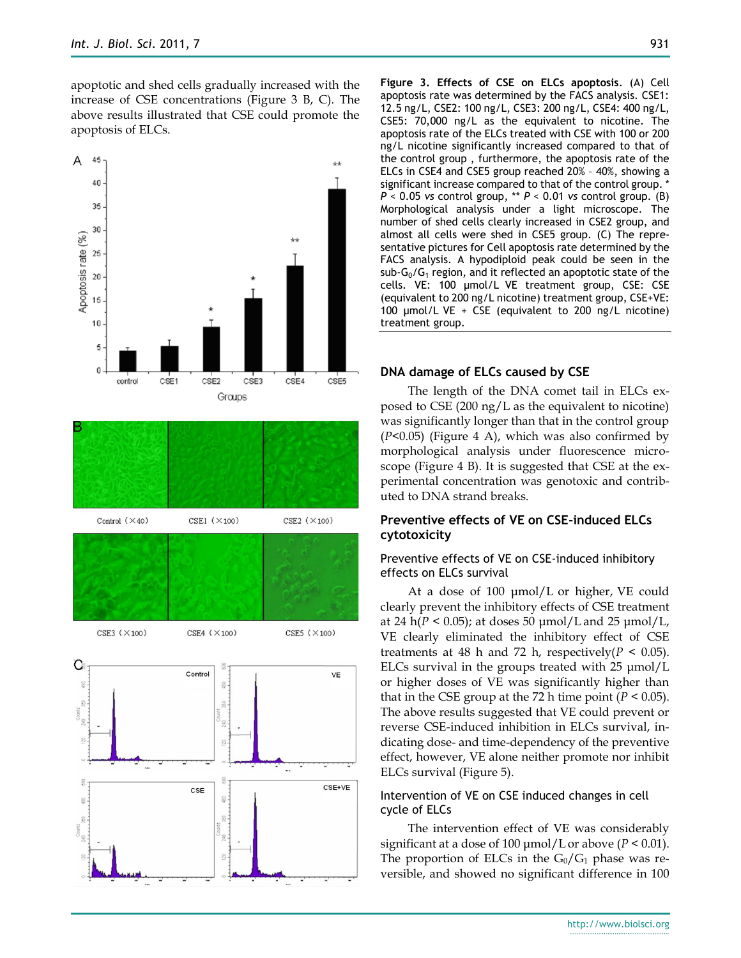apoptotic and shed cells gradually increased with the increase of CSE concentrations (Figure 3 B, C). The above results illustrated that CSE could promote the apoptosis of ELCs.







**Figure 3. Effects of CSE on ELCs apoptosis**. (A) Cell apoptosis rate was determined by the FACS analysis. CSE1: 12.5 ng/L, CSE2: 100 ng/L, CSE3: 200 ng/L, CSE4: 400 ng/L, CSE5: 70,000 ng/L as the equivalent to nicotine. The apoptosis rate of the ELCs treated with CSE with 100 or 200 ng/L nicotine significantly increased compared to that of the control group , furthermore, the apoptosis rate of the ELCs in CSE4 and CSE5 group reached 20% – 40%, showing a significant increase compared to that of the control group. \* *P* < 0.05 *vs* control group, \*\* *P* < 0.01 *vs* control group. (B) Morphological analysis under a light microscope. The number of shed cells clearly increased in CSE2 group, and almost all cells were shed in CSE5 group. (C) The representative pictures for Cell apoptosis rate determined by the FACS analysis. A hypodiploid peak could be seen in the sub- $G_0/G_1$  region, and it reflected an apoptotic state of the cells. VE: 100 μmol/L VE treatment group, CSE: CSE (equivalent to 200 ng/L nicotine) treatment group, CSE+VE: 100 μmol/L VE + CSE (equivalent to 200 ng/L nicotine) treatment group.

#### **DNA damage of ELCs caused by CSE**

The length of the DNA comet tail in ELCs exposed to CSE (200 ng/L as the equivalent to nicotine) was significantly longer than that in the control group  $(P<0.05)$  (Figure 4 A), which was also confirmed by morphological analysis under fluorescence microscope (Figure 4 B). It is suggested that CSE at the experimental concentration was genotoxic and contributed to DNA strand breaks.

## **Preventive effects of VE on CSE-induced ELCs cytotoxicity**

## Preventive effects of VE on CSE-induced inhibitory effects on ELCs survival

At a dose of 100 μmol/L or higher, VE could clearly prevent the inhibitory effects of CSE treatment at 24 h( $P < 0.05$ ); at doses 50  $\mu$ mol/L and 25  $\mu$ mol/L, VE clearly eliminated the inhibitory effect of CSE treatments at 48 h and 72 h, respectively  $(P < 0.05)$ . ELCs survival in the groups treated with 25 μmol/L or higher doses of VE was significantly higher than that in the CSE group at the 72 h time point  $(P < 0.05)$ . The above results suggested that VE could prevent or reverse CSE-induced inhibition in ELCs survival, indicating dose- and time-dependency of the preventive effect, however, VE alone neither promote nor inhibit ELCs survival (Figure 5).

#### Intervention of VE on CSE induced changes in cell cycle of ELCs

The intervention effect of VE was considerably significant at a dose of 100 μmol/L or above (*P* < 0.01). The proportion of ELCs in the  $G_0/G_1$  phase was reversible, and showed no significant difference in 100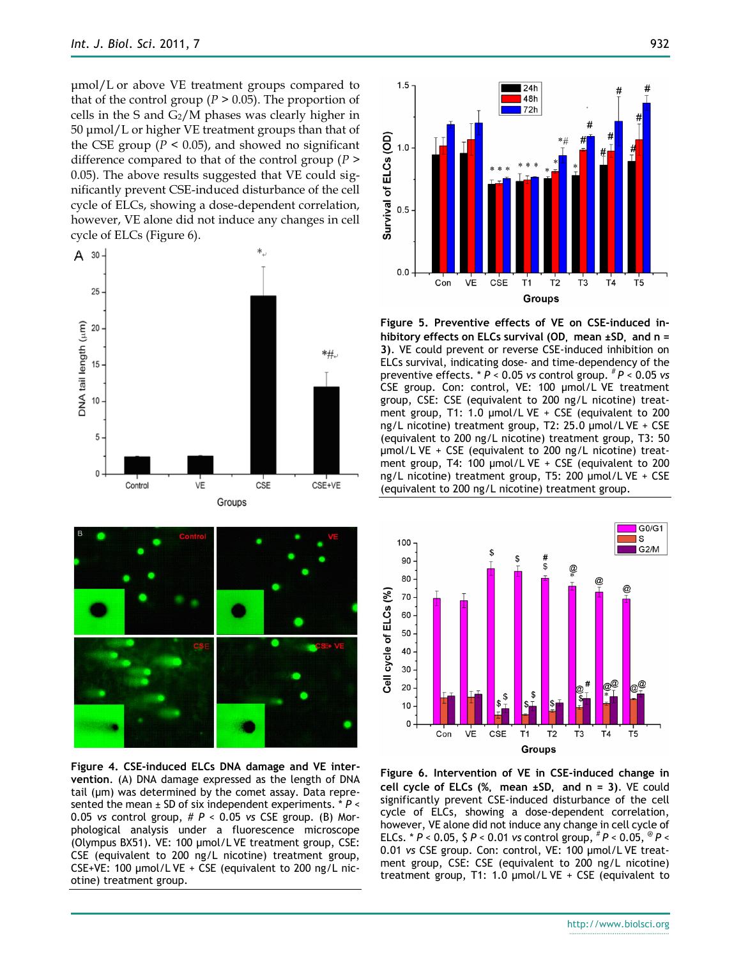μmol/L or above VE treatment groups compared to that of the control group ( $P > 0.05$ ). The proportion of cells in the S and  $G_2/M$  phases was clearly higher in 50 μmol/L or higher VE treatment groups than that of the CSE group ( $P < 0.05$ ), and showed no significant difference compared to that of the control group (*P* > 0.05). The above results suggested that VE could significantly prevent CSE-induced disturbance of the cell cycle of ELCs, showing a dose-dependent correlation, however, VE alone did not induce any changes in cell cycle of ELCs (Figure 6).





**Figure 4. CSE-induced ELCs DNA damage and VE intervention**. (A) DNA damage expressed as the length of DNA tail (μm) was determined by the comet assay. Data represented the mean ± SD of six independent experiments. \* *P* < 0.05 *vs* control group, # *P* < 0.05 *vs* CSE group. (B) Morphological analysis under a fluorescence microscope (Olympus BX51). VE: 100 μmol/L VE treatment group, CSE: CSE (equivalent to 200 ng/L nicotine) treatment group, CSE+VE: 100 μmol/L VE + CSE (equivalent to 200 ng/L nicotine) treatment group.



**Figure 5. Preventive effects of VE on CSE-induced inhibitory effects on ELCs survival (OD**, **mean ±SD**, **and n = 3)**. VE could prevent or reverse CSE-induced inhibition on ELCs survival, indicating dose- and time-dependency of the preventive effects. \* *P* < 0.05 *vs* control group. # *P* < 0.05 *vs* CSE group. Con: control, VE: 100 μmol/L VE treatment group, CSE: CSE (equivalent to 200 ng/L nicotine) treatment group, T1: 1.0 μmol/L VE + CSE (equivalent to 200 ng/L nicotine) treatment group, T2: 25.0 μmol/L VE + CSE (equivalent to 200 ng/L nicotine) treatment group, T3: 50 μmol/L VE + CSE (equivalent to 200 ng/L nicotine) treatment group, T4: 100 μmol/L VE + CSE (equivalent to 200 ng/L nicotine) treatment group, T5: 200 μmol/L VE + CSE (equivalent to 200 ng/L nicotine) treatment group.



**Figure 6. Intervention of VE in CSE-induced change in cell cycle of ELCs (%**, **mean ±SD**, **and n = 3)**. VE could significantly prevent CSE-induced disturbance of the cell cycle of ELCs, showing a dose-dependent correlation, however, VE alone did not induce any change in cell cycle of ELCs. \*  $P < 0.05$ ,  $\zeta P < 0.01$  *vs* control group,  ${}^{#}P < 0.05$ ,  ${}^{@}P <$ 0.01 *vs* CSE group. Con: control, VE: 100 μmol/L VE treatment group, CSE: CSE (equivalent to 200 ng/L nicotine) treatment group, T1: 1.0 μmol/L VE + CSE (equivalent to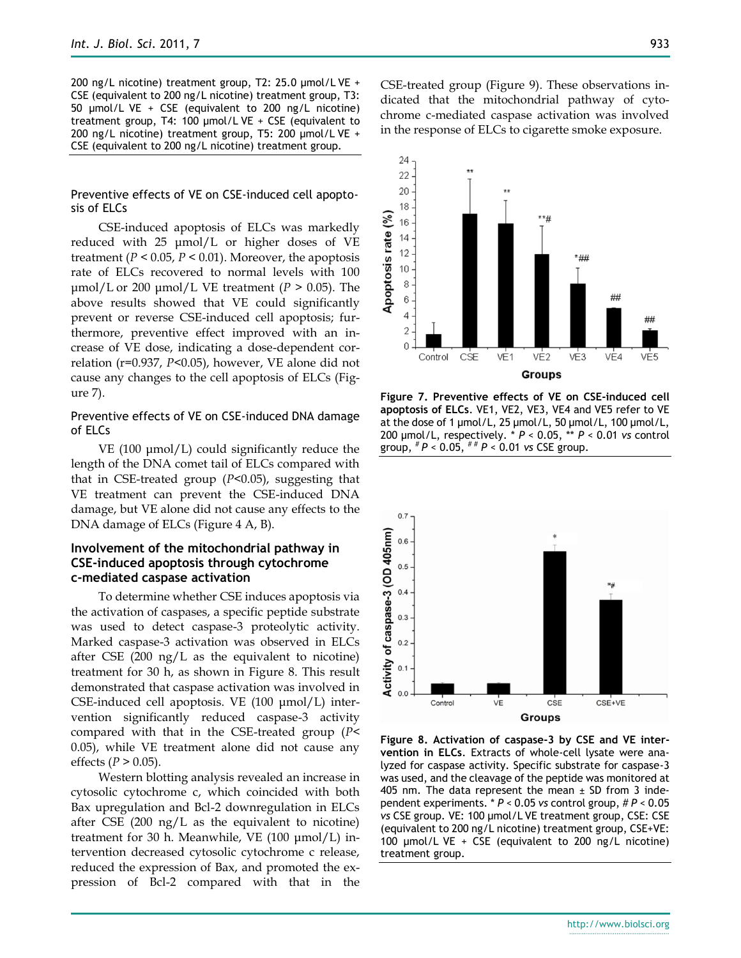200 ng/L nicotine) treatment group, T2: 25.0 μmol/L VE + CSE (equivalent to 200 ng/L nicotine) treatment group, T3: 50 μmol/L VE + CSE (equivalent to 200 ng/L nicotine) treatment group, T4: 100 μmol/L VE + CSE (equivalent to 200 ng/L nicotine) treatment group, T5: 200 μmol/L VE + CSE (equivalent to 200 ng/L nicotine) treatment group.

## Preventive effects of VE on CSE-induced cell apoptosis of ELCs

CSE-induced apoptosis of ELCs was markedly reduced with 25 μmol/L or higher doses of VE treatment ( $P < 0.05$ ,  $P < 0.01$ ). Moreover, the apoptosis rate of ELCs recovered to normal levels with 100 μmol/L or 200 μmol/L VE treatment ( $P > 0.05$ ). The above results showed that VE could significantly prevent or reverse CSE-induced cell apoptosis; furthermore, preventive effect improved with an increase of VE dose, indicating a dose-dependent correlation (r=0.937, *P*<0.05), however, VE alone did not cause any changes to the cell apoptosis of ELCs (Figure 7).

## Preventive effects of VE on CSE-induced DNA damage of ELCs

VE (100 μmol/L) could significantly reduce the length of the DNA comet tail of ELCs compared with that in CSE-treated group (*P*<0.05), suggesting that VE treatment can prevent the CSE-induced DNA damage, but VE alone did not cause any effects to the DNA damage of ELCs (Figure 4 A, B).

## **Involvement of the mitochondrial pathway in CSE-induced apoptosis through cytochrome c-mediated caspase activation**

To determine whether CSE induces apoptosis via the activation of caspases, a specific peptide substrate was used to detect caspase-3 proteolytic activity. Marked caspase-3 activation was observed in ELCs after CSE  $(200 \text{ ng/L} \text{ as the equivalent to nicotine})$ treatment for 30 h, as shown in Figure 8. This result demonstrated that caspase activation was involved in CSE-induced cell apoptosis. VE (100 μmol/L) intervention significantly reduced caspase-3 activity compared with that in the CSE-treated group (*P*< 0.05), while VE treatment alone did not cause any effects ( $P > 0.05$ ).

Western blotting analysis revealed an increase in cytosolic cytochrome c, which coincided with both Bax upregulation and Bcl-2 downregulation in ELCs after CSE (200 ng/L as the equivalent to nicotine) treatment for 30 h. Meanwhile, VE (100 μmol/L) intervention decreased cytosolic cytochrome c release, reduced the expression of Bax, and promoted the expression of Bcl-2 compared with that in the

CSE-treated group (Figure 9). These observations indicated that the mitochondrial pathway of cytochrome c-mediated caspase activation was involved in the response of ELCs to cigarette smoke exposure.



**Figure 7. Preventive effects of VE on CSE-induced cell apoptosis of ELCs**. VE1, VE2, VE3, VE4 and VE5 refer to VE at the dose of 1 μmol/L, 25 μmol/L, 50 μmol/L, 100 μmol/L, 200 μmol/L, respectively. \* *P* < 0.05, \*\* *P* < 0.01 *vs* control group, # *P* < 0.05, # # *P* < 0.01 *vs* CSE group.



**Figure 8. Activation of caspase-3 by CSE and VE intervention in ELCs**. Extracts of whole-cell lysate were analyzed for caspase activity. Specific substrate for caspase-3 was used, and the cleavage of the peptide was monitored at 405 nm. The data represent the mean  $\pm$  SD from 3 independent experiments. \* *P* < 0.05 *vs* control group, # *P* < 0.05 *vs* CSE group. VE: 100 μmol/L VE treatment group, CSE: CSE (equivalent to 200 ng/L nicotine) treatment group, CSE+VE: 100 μmol/L VE + CSE (equivalent to 200 ng/L nicotine) treatment group.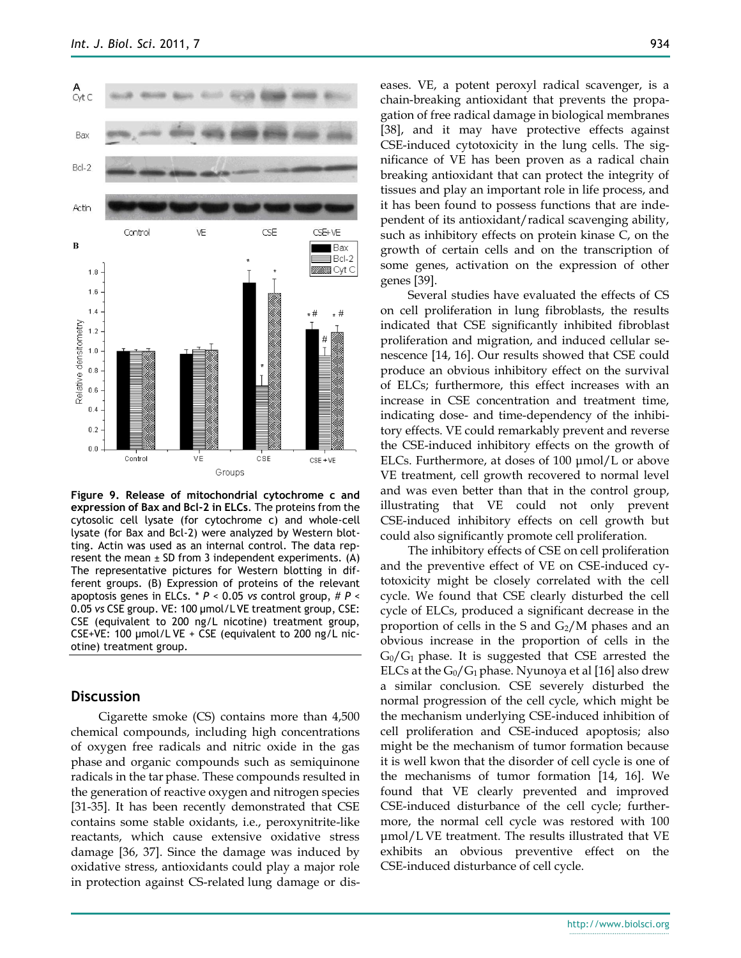

**Figure 9. Release of mitochondrial cytochrome c and expression of Bax and Bcl-2 in ELCs**. The proteins from the cytosolic cell lysate (for cytochrome c) and whole-cell lysate (for Bax and Bcl-2) were analyzed by Western blotting. Actin was used as an internal control. The data represent the mean  $\pm$  SD from 3 independent experiments. (A) The representative pictures for Western blotting in different groups. (B) Expression of proteins of the relevant apoptosis genes in ELCs. \* *P* < 0.05 *vs* control group, # *P* < 0.05 *vs* CSE group. VE: 100 μmol/L VE treatment group, CSE: CSE (equivalent to 200 ng/L nicotine) treatment group, CSE+VE: 100 μmol/L VE + CSE (equivalent to 200 ng/L nicotine) treatment group.

## **Discussion**

Cigarette smoke (CS) contains more than 4,500 chemical compounds, including high concentrations of oxygen free radicals and nitric oxide in the gas phase and organic compounds such as semiquinone radicals in the tar phase. These compounds resulted in the generation of reactive oxygen and nitrogen species [31-35]. It has been recently demonstrated that CSE contains some stable oxidants, i.e., peroxynitrite-like reactants, which cause extensive oxidative stress damage [36, 37]. Since the damage was induced by oxidative stress, antioxidants could play a major role in protection against CS-related lung damage or diseases. VE, a potent peroxyl radical scavenger, is a chain-breaking antioxidant that prevents the propagation of free radical damage in biological membranes [38], and it may have protective effects against CSE-induced cytotoxicity in the lung cells. The significance of VE has been proven as a radical chain breaking antioxidant that can protect the integrity of tissues and play an important role in life process, and it has been found to possess functions that are independent of its antioxidant/radical scavenging ability, such as inhibitory effects on protein kinase C, on the growth of certain cells and on the transcription of some genes, activation on the expression of other genes [39].

Several studies have evaluated the effects of CS on cell proliferation in lung fibroblasts, the results indicated that CSE significantly inhibited fibroblast proliferation and migration, and induced cellular senescence [14, 16]. Our results showed that CSE could produce an obvious inhibitory effect on the survival of ELCs; furthermore, this effect increases with an increase in CSE concentration and treatment time, indicating dose- and time-dependency of the inhibitory effects. VE could remarkably prevent and reverse the CSE-induced inhibitory effects on the growth of ELCs. Furthermore, at doses of 100 μmol/L or above VE treatment, cell growth recovered to normal level and was even better than that in the control group, illustrating that VE could not only prevent CSE-induced inhibitory effects on cell growth but could also significantly promote cell proliferation.

The inhibitory effects of CSE on cell proliferation and the preventive effect of VE on CSE-induced cytotoxicity might be closely correlated with the cell cycle. We found that CSE clearly disturbed the cell cycle of ELCs, produced a significant decrease in the proportion of cells in the S and  $G_2/M$  phases and an obvious increase in the proportion of cells in the  $G_0/G_1$  phase. It is suggested that CSE arrested the ELCs at the  $G_0/G_1$  phase. Nyunoya et al [16] also drew a similar conclusion. CSE severely disturbed the normal progression of the cell cycle, which might be the mechanism underlying CSE-induced inhibition of cell proliferation and CSE-induced apoptosis; also might be the mechanism of tumor formation because it is well kwon that the disorder of cell cycle is one of the mechanisms of tumor formation [14, 16]. We found that VE clearly prevented and improved CSE-induced disturbance of the cell cycle; furthermore, the normal cell cycle was restored with 100 μmol/L VE treatment. The results illustrated that VE exhibits an obvious preventive effect on the CSE-induced disturbance of cell cycle.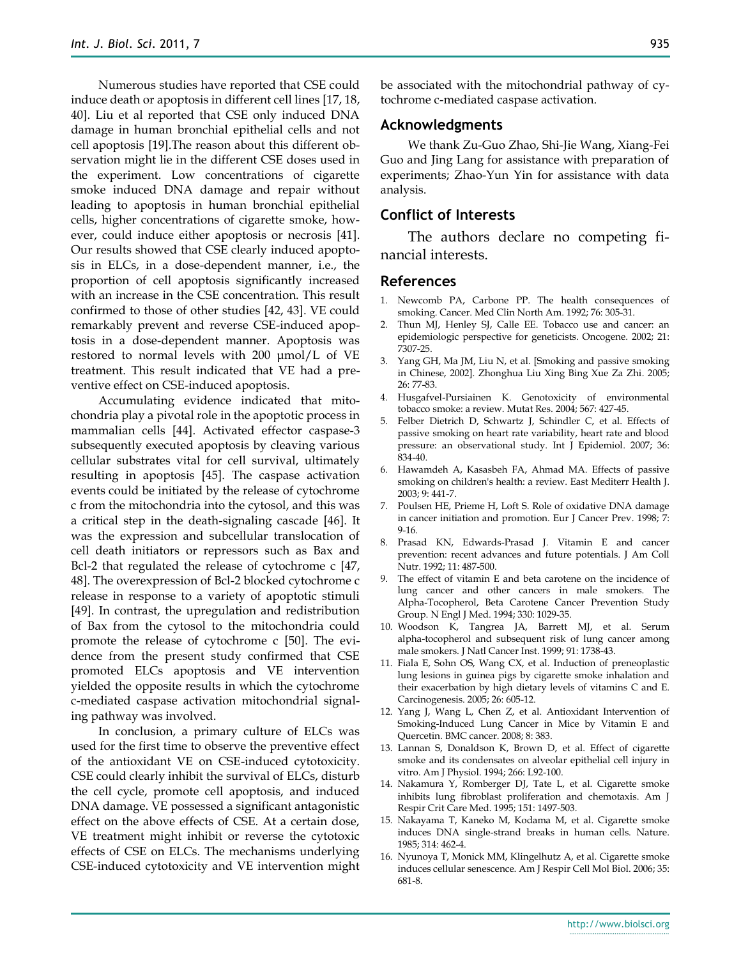Numerous studies have reported that CSE could induce death or apoptosis in different cell lines [17, 18, 40]. Liu et al reported that CSE only induced DNA damage in human bronchial epithelial cells and not cell apoptosis [19].The reason about this different observation might lie in the different CSE doses used in the experiment. Low concentrations of cigarette smoke induced DNA damage and repair without leading to apoptosis in human bronchial epithelial cells, higher concentrations of cigarette smoke, however, could induce either apoptosis or necrosis [41]. Our results showed that CSE clearly induced apoptosis in ELCs, in a dose-dependent manner, i.e., the proportion of cell apoptosis significantly increased with an increase in the CSE concentration. This result confirmed to those of other studies [42, 43]. VE could remarkably prevent and reverse CSE-induced apoptosis in a dose-dependent manner. Apoptosis was restored to normal levels with 200 μmol/L of VE treatment. This result indicated that VE had a preventive effect on CSE-induced apoptosis.

Accumulating evidence indicated that mitochondria play a pivotal role in the apoptotic process in mammalian cells [44]. Activated effector caspase-3 subsequently executed apoptosis by cleaving various cellular substrates vital for cell survival, ultimately resulting in apoptosis [45]. The caspase activation events could be initiated by the release of cytochrome c from the mitochondria into the cytosol, and this was a critical step in the death-signaling cascade [46]. It was the expression and subcellular translocation of cell death initiators or repressors such as Bax and Bcl-2 that regulated the release of cytochrome c [47, 48]. The overexpression of Bcl-2 blocked cytochrome c release in response to a variety of apoptotic stimuli [49]. In contrast, the upregulation and redistribution of Bax from the cytosol to the mitochondria could promote the release of cytochrome c [50]. The evidence from the present study confirmed that CSE promoted ELCs apoptosis and VE intervention yielded the opposite results in which the cytochrome c-mediated caspase activation mitochondrial signaling pathway was involved.

In conclusion, a primary culture of ELCs was used for the first time to observe the preventive effect of the antioxidant VE on CSE-induced cytotoxicity. CSE could clearly inhibit the survival of ELCs, disturb the cell cycle, promote cell apoptosis, and induced DNA damage. VE possessed a significant antagonistic effect on the above effects of CSE. At a certain dose, VE treatment might inhibit or reverse the cytotoxic effects of CSE on ELCs. The mechanisms underlying CSE-induced cytotoxicity and VE intervention might

be associated with the mitochondrial pathway of cytochrome c-mediated caspase activation.

#### **Acknowledgments**

We thank Zu-Guo Zhao, Shi-Jie Wang, Xiang-Fei Guo and Jing Lang for assistance with preparation of experiments; Zhao-Yun Yin for assistance with data analysis.

## **Conflict of Interests**

The authors declare no competing financial interests.

#### **References**

- 1. Newcomb PA, Carbone PP. The health consequences of smoking. Cancer. Med Clin North Am. 1992; 76: 305-31.
- 2. Thun MJ, Henley SJ, Calle EE. Tobacco use and cancer: an epidemiologic perspective for geneticists. Oncogene. 2002; 21: 7307-25.
- 3. Yang GH, Ma JM, Liu N, et al. [Smoking and passive smoking in Chinese, 2002]. Zhonghua Liu Xing Bing Xue Za Zhi. 2005; 26: 77-83.
- 4. Husgafvel-Pursiainen K. Genotoxicity of environmental tobacco smoke: a review. Mutat Res. 2004; 567: 427-45.
- 5. Felber Dietrich D, Schwartz J, Schindler C, et al. Effects of passive smoking on heart rate variability, heart rate and blood pressure: an observational study. Int J Epidemiol. 2007; 36: 834-40.
- 6. Hawamdeh A, Kasasbeh FA, Ahmad MA. Effects of passive smoking on children's health: a review. East Mediterr Health J. 2003; 9: 441-7.
- 7. Poulsen HE, Prieme H, Loft S. Role of oxidative DNA damage in cancer initiation and promotion. Eur J Cancer Prev. 1998; 7: 9-16.
- 8. Prasad KN, Edwards-Prasad J. Vitamin E and cancer prevention: recent advances and future potentials. J Am Coll Nutr. 1992; 11: 487-500.
- 9. The effect of vitamin E and beta carotene on the incidence of lung cancer and other cancers in male smokers. The Alpha-Tocopherol, Beta Carotene Cancer Prevention Study Group. N Engl J Med. 1994; 330: 1029-35.
- 10. Woodson K, Tangrea JA, Barrett MJ, et al. Serum alpha-tocopherol and subsequent risk of lung cancer among male smokers. J Natl Cancer Inst. 1999; 91: 1738-43.
- 11. Fiala E, Sohn OS, Wang CX, et al. Induction of preneoplastic lung lesions in guinea pigs by cigarette smoke inhalation and their exacerbation by high dietary levels of vitamins C and E. Carcinogenesis. 2005; 26: 605-12.
- 12. Yang J, Wang L, Chen Z, et al. Antioxidant Intervention of Smoking-Induced Lung Cancer in Mice by Vitamin E and Quercetin. BMC cancer. 2008; 8: 383.
- 13. Lannan S, Donaldson K, Brown D, et al. Effect of cigarette smoke and its condensates on alveolar epithelial cell injury in vitro. Am J Physiol. 1994; 266: L92-100.
- 14. Nakamura Y, Romberger DJ, Tate L, et al. Cigarette smoke inhibits lung fibroblast proliferation and chemotaxis. Am J Respir Crit Care Med. 1995; 151: 1497-503.
- 15. Nakayama T, Kaneko M, Kodama M, et al. Cigarette smoke induces DNA single-strand breaks in human cells. Nature. 1985; 314: 462-4.
- 16. Nyunoya T, Monick MM, Klingelhutz A, et al. Cigarette smoke induces cellular senescence. Am J Respir Cell Mol Biol. 2006; 35: 681-8.